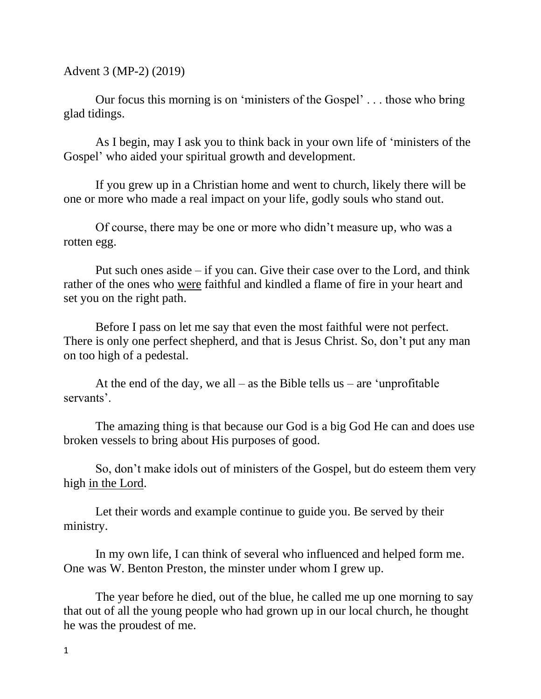Advent 3 (MP-2) (2019)

Our focus this morning is on 'ministers of the Gospel' . . . those who bring glad tidings.

As I begin, may I ask you to think back in your own life of 'ministers of the Gospel' who aided your spiritual growth and development.

If you grew up in a Christian home and went to church, likely there will be one or more who made a real impact on your life, godly souls who stand out.

Of course, there may be one or more who didn't measure up, who was a rotten egg.

Put such ones aside – if you can. Give their case over to the Lord, and think rather of the ones who were faithful and kindled a flame of fire in your heart and set you on the right path.

Before I pass on let me say that even the most faithful were not perfect. There is only one perfect shepherd, and that is Jesus Christ. So, don't put any man on too high of a pedestal.

At the end of the day, we all – as the Bible tells us – are 'unprofitable servants'.

The amazing thing is that because our God is a big God He can and does use broken vessels to bring about His purposes of good.

So, don't make idols out of ministers of the Gospel, but do esteem them very high in the Lord.

Let their words and example continue to guide you. Be served by their ministry.

In my own life, I can think of several who influenced and helped form me. One was W. Benton Preston, the minster under whom I grew up.

The year before he died, out of the blue, he called me up one morning to say that out of all the young people who had grown up in our local church, he thought he was the proudest of me.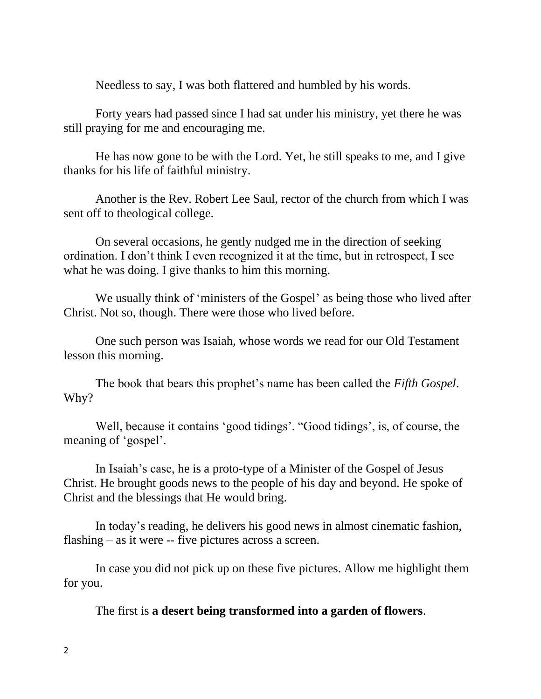Needless to say, I was both flattered and humbled by his words.

Forty years had passed since I had sat under his ministry, yet there he was still praying for me and encouraging me.

He has now gone to be with the Lord. Yet, he still speaks to me, and I give thanks for his life of faithful ministry.

Another is the Rev. Robert Lee Saul, rector of the church from which I was sent off to theological college.

On several occasions, he gently nudged me in the direction of seeking ordination. I don't think I even recognized it at the time, but in retrospect, I see what he was doing. I give thanks to him this morning.

We usually think of 'ministers of the Gospel' as being those who lived after Christ. Not so, though. There were those who lived before.

One such person was Isaiah, whose words we read for our Old Testament lesson this morning.

The book that bears this prophet's name has been called the *Fifth Gospel*. Why?

Well, because it contains 'good tidings'. "Good tidings', is, of course, the meaning of 'gospel'.

In Isaiah's case, he is a proto-type of a Minister of the Gospel of Jesus Christ. He brought goods news to the people of his day and beyond. He spoke of Christ and the blessings that He would bring.

In today's reading, he delivers his good news in almost cinematic fashion, flashing – as it were -- five pictures across a screen.

In case you did not pick up on these five pictures. Allow me highlight them for you.

The first is **a desert being transformed into a garden of flowers**.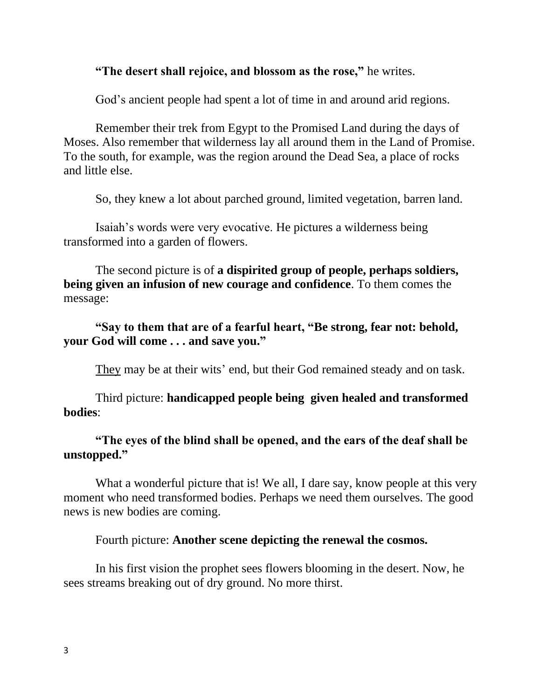## **"The desert shall rejoice, and blossom as the rose,"** he writes.

God's ancient people had spent a lot of time in and around arid regions.

Remember their trek from Egypt to the Promised Land during the days of Moses. Also remember that wilderness lay all around them in the Land of Promise. To the south, for example, was the region around the Dead Sea, a place of rocks and little else.

So, they knew a lot about parched ground, limited vegetation, barren land.

Isaiah's words were very evocative. He pictures a wilderness being transformed into a garden of flowers.

The second picture is of **a dispirited group of people, perhaps soldiers, being given an infusion of new courage and confidence**. To them comes the message:

**"Say to them that are of a fearful heart, "Be strong, fear not: behold, your God will come . . . and save you."**

They may be at their wits' end, but their God remained steady and on task.

Third picture: **handicapped people being given healed and transformed bodies**:

**"The eyes of the blind shall be opened, and the ears of the deaf shall be unstopped."**

What a wonderful picture that is! We all, I dare say, know people at this very moment who need transformed bodies. Perhaps we need them ourselves. The good news is new bodies are coming.

Fourth picture: **Another scene depicting the renewal the cosmos.**

In his first vision the prophet sees flowers blooming in the desert. Now, he sees streams breaking out of dry ground. No more thirst.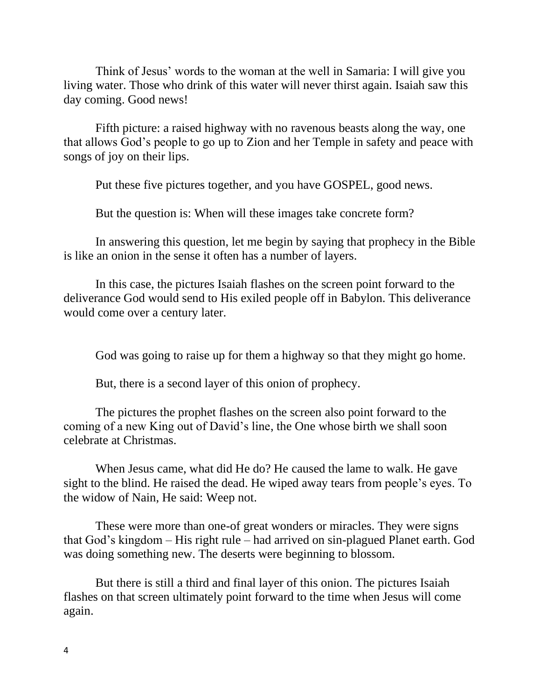Think of Jesus' words to the woman at the well in Samaria: I will give you living water. Those who drink of this water will never thirst again. Isaiah saw this day coming. Good news!

Fifth picture: a raised highway with no ravenous beasts along the way, one that allows God's people to go up to Zion and her Temple in safety and peace with songs of joy on their lips.

Put these five pictures together, and you have GOSPEL, good news.

But the question is: When will these images take concrete form?

In answering this question, let me begin by saying that prophecy in the Bible is like an onion in the sense it often has a number of layers.

In this case, the pictures Isaiah flashes on the screen point forward to the deliverance God would send to His exiled people off in Babylon. This deliverance would come over a century later.

God was going to raise up for them a highway so that they might go home.

But, there is a second layer of this onion of prophecy.

The pictures the prophet flashes on the screen also point forward to the coming of a new King out of David's line, the One whose birth we shall soon celebrate at Christmas.

When Jesus came, what did He do? He caused the lame to walk. He gave sight to the blind. He raised the dead. He wiped away tears from people's eyes. To the widow of Nain, He said: Weep not.

These were more than one-of great wonders or miracles. They were signs that God's kingdom – His right rule – had arrived on sin-plagued Planet earth. God was doing something new. The deserts were beginning to blossom.

But there is still a third and final layer of this onion. The pictures Isaiah flashes on that screen ultimately point forward to the time when Jesus will come again.